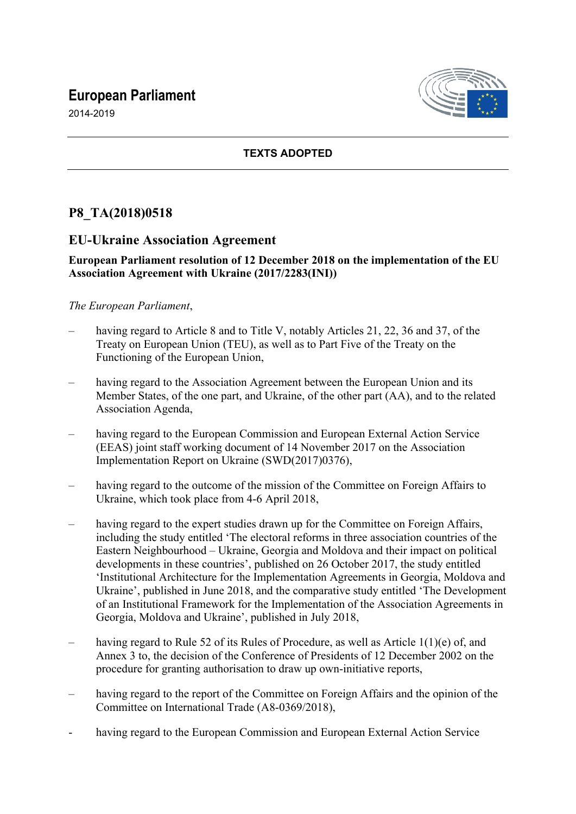# **European Parliament**



2014-2019

## **TEXTS ADOPTED**

## **P8\_TA(2018)0518**

## **EU-Ukraine Association Agreement**

#### **European Parliament resolution of 12 December 2018 on the implementation of the EU Association Agreement with Ukraine (2017/2283(INI))**

## *The European Parliament*,

- having regard to Article 8 and to Title V, notably Articles 21, 22, 36 and 37, of the Treaty on European Union (TEU), as well as to Part Five of the Treaty on the Functioning of the European Union,
- having regard to the Association Agreement between the European Union and its Member States, of the one part, and Ukraine, of the other part (AA), and to the related Association Agenda,
- having regard to the European Commission and European External Action Service (EEAS) joint staff working document of 14 November 2017 on the Association Implementation Report on Ukraine (SWD(2017)0376),
- having regard to the outcome of the mission of the Committee on Foreign Affairs to Ukraine, which took place from 4-6 April 2018,
- having regard to the expert studies drawn up for the Committee on Foreign Affairs, including the study entitled 'The electoral reforms in three association countries of the Eastern Neighbourhood – Ukraine, Georgia and Moldova and their impact on political developments in these countries', published on 26 October 2017, the study entitled 'Institutional Architecture for the Implementation Agreements in Georgia, Moldova and Ukraine', published in June 2018, and the comparative study entitled 'The Development of an Institutional Framework for the Implementation of the Association Agreements in Georgia, Moldova and Ukraine', published in July 2018,
- having regard to Rule 52 of its Rules of Procedure, as well as Article  $1(1)(e)$  of, and Annex 3 to, the decision of the Conference of Presidents of 12 December 2002 on the procedure for granting authorisation to draw up own-initiative reports,
- having regard to the report of the Committee on Foreign Affairs and the opinion of the Committee on International Trade (A8-0369/2018),
- having regard to the European Commission and European External Action Service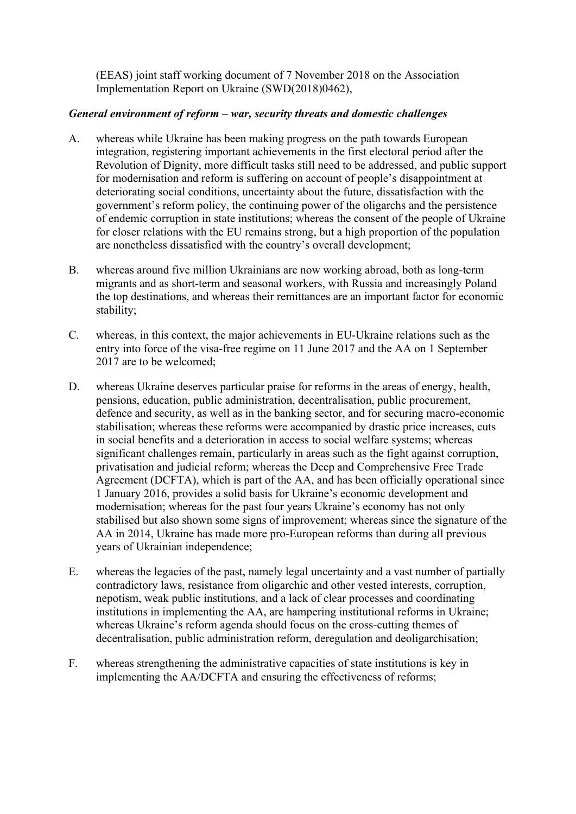(EEAS) joint staff working document of 7 November 2018 on the Association Implementation Report on Ukraine (SWD(2018)0462),

### *General environment of reform – war, security threats and domestic challenges*

- A. whereas while Ukraine has been making progress on the path towards European integration, registering important achievements in the first electoral period after the Revolution of Dignity, more difficult tasks still need to be addressed, and public support for modernisation and reform is suffering on account of people's disappointment at deteriorating social conditions, uncertainty about the future, dissatisfaction with the government's reform policy, the continuing power of the oligarchs and the persistence of endemic corruption in state institutions; whereas the consent of the people of Ukraine for closer relations with the EU remains strong, but a high proportion of the population are nonetheless dissatisfied with the country's overall development;
- B. whereas around five million Ukrainians are now working abroad, both as long-term migrants and as short-term and seasonal workers, with Russia and increasingly Poland the top destinations, and whereas their remittances are an important factor for economic stability;
- C. whereas, in this context, the major achievements in EU-Ukraine relations such as the entry into force of the visa-free regime on 11 June 2017 and the AA on 1 September 2017 are to be welcomed;
- D. whereas Ukraine deserves particular praise for reforms in the areas of energy, health, pensions, education, public administration, decentralisation, public procurement, defence and security, as well as in the banking sector, and for securing macro-economic stabilisation; whereas these reforms were accompanied by drastic price increases, cuts in social benefits and a deterioration in access to social welfare systems; whereas significant challenges remain, particularly in areas such as the fight against corruption, privatisation and judicial reform; whereas the Deep and Comprehensive Free Trade Agreement (DCFTA), which is part of the AA, and has been officially operational since 1 January 2016, provides a solid basis for Ukraine's economic development and modernisation; whereas for the past four years Ukraine's economy has not only stabilised but also shown some signs of improvement; whereas since the signature of the AA in 2014, Ukraine has made more pro-European reforms than during all previous years of Ukrainian independence;
- E. whereas the legacies of the past, namely legal uncertainty and a vast number of partially contradictory laws, resistance from oligarchic and other vested interests, corruption, nepotism, weak public institutions, and a lack of clear processes and coordinating institutions in implementing the AA, are hampering institutional reforms in Ukraine; whereas Ukraine's reform agenda should focus on the cross-cutting themes of decentralisation, public administration reform, deregulation and deoligarchisation;
- F. whereas strengthening the administrative capacities of state institutions is key in implementing the AA/DCFTA and ensuring the effectiveness of reforms;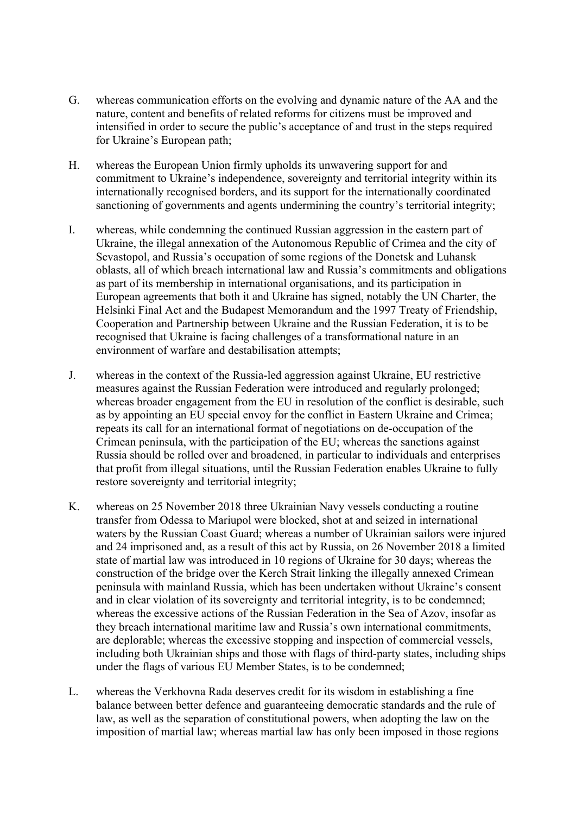- G. whereas communication efforts on the evolving and dynamic nature of the AA and the nature, content and benefits of related reforms for citizens must be improved and intensified in order to secure the public's acceptance of and trust in the steps required for Ukraine's European path;
- H. whereas the European Union firmly upholds its unwavering support for and commitment to Ukraine's independence, sovereignty and territorial integrity within its internationally recognised borders, and its support for the internationally coordinated sanctioning of governments and agents undermining the country's territorial integrity;
- I. whereas, while condemning the continued Russian aggression in the eastern part of Ukraine, the illegal annexation of the Autonomous Republic of Crimea and the city of Sevastopol, and Russia's occupation of some regions of the Donetsk and Luhansk oblasts, all of which breach international law and Russia's commitments and obligations as part of its membership in international organisations, and its participation in European agreements that both it and Ukraine has signed, notably the UN Charter, the Helsinki Final Act and the Budapest Memorandum and the 1997 Treaty of Friendship, Cooperation and Partnership between Ukraine and the Russian Federation, it is to be recognised that Ukraine is facing challenges of a transformational nature in an environment of warfare and destabilisation attempts;
- J. whereas in the context of the Russia-led aggression against Ukraine, EU restrictive measures against the Russian Federation were introduced and regularly prolonged; whereas broader engagement from the EU in resolution of the conflict is desirable, such as by appointing an EU special envoy for the conflict in Eastern Ukraine and Crimea; repeats its call for an international format of negotiations on de-occupation of the Crimean peninsula, with the participation of the EU; whereas the sanctions against Russia should be rolled over and broadened, in particular to individuals and enterprises that profit from illegal situations, until the Russian Federation enables Ukraine to fully restore sovereignty and territorial integrity;
- K. whereas on 25 November 2018 three Ukrainian Navy vessels conducting a routine transfer from Odessa to Mariupol were blocked, shot at and seized in international waters by the Russian Coast Guard; whereas a number of Ukrainian sailors were injured and 24 imprisoned and, as a result of this act by Russia, on 26 November 2018 a limited state of martial law was introduced in 10 regions of Ukraine for 30 days; whereas the construction of the bridge over the Kerch Strait linking the illegally annexed Crimean peninsula with mainland Russia, which has been undertaken without Ukraine's consent and in clear violation of its sovereignty and territorial integrity, is to be condemned; whereas the excessive actions of the Russian Federation in the Sea of Azov, insofar as they breach international maritime law and Russia's own international commitments, are deplorable; whereas the excessive stopping and inspection of commercial vessels, including both Ukrainian ships and those with flags of third-party states, including ships under the flags of various EU Member States, is to be condemned;
- L. whereas the Verkhovna Rada deserves credit for its wisdom in establishing a fine balance between better defence and guaranteeing democratic standards and the rule of law, as well as the separation of constitutional powers, when adopting the law on the imposition of martial law; whereas martial law has only been imposed in those regions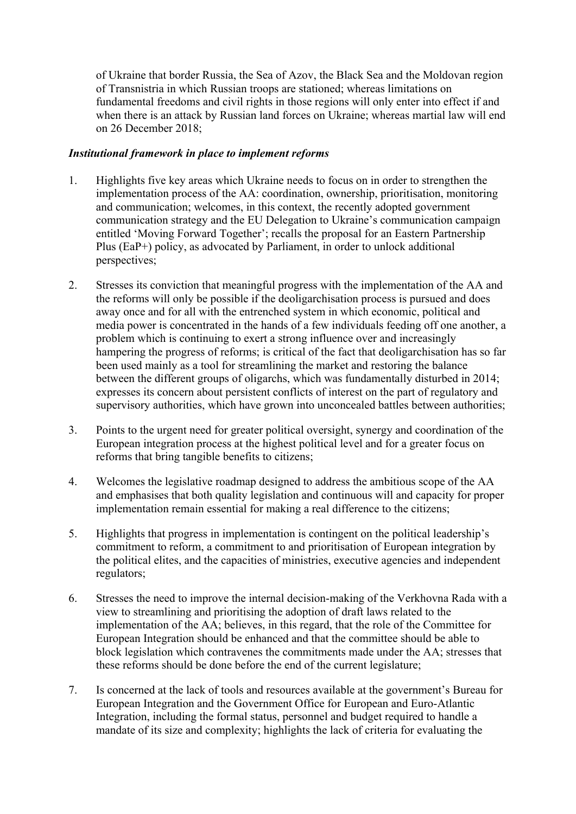of Ukraine that border Russia, the Sea of Azov, the Black Sea and the Moldovan region of Transnistria in which Russian troops are stationed; whereas limitations on fundamental freedoms and civil rights in those regions will only enter into effect if and when there is an attack by Russian land forces on Ukraine; whereas martial law will end on 26 December 2018;

#### *Institutional framework in place to implement reforms*

- 1. Highlights five key areas which Ukraine needs to focus on in order to strengthen the implementation process of the AA: coordination, ownership, prioritisation, monitoring and communication; welcomes, in this context, the recently adopted government communication strategy and the EU Delegation to Ukraine's communication campaign entitled 'Moving Forward Together'; recalls the proposal for an Eastern Partnership Plus (EaP+) policy, as advocated by Parliament, in order to unlock additional perspectives;
- 2. Stresses its conviction that meaningful progress with the implementation of the AA and the reforms will only be possible if the deoligarchisation process is pursued and does away once and for all with the entrenched system in which economic, political and media power is concentrated in the hands of a few individuals feeding off one another, a problem which is continuing to exert a strong influence over and increasingly hampering the progress of reforms; is critical of the fact that deoligarchisation has so far been used mainly as a tool for streamlining the market and restoring the balance between the different groups of oligarchs, which was fundamentally disturbed in 2014; expresses its concern about persistent conflicts of interest on the part of regulatory and supervisory authorities, which have grown into unconcealed battles between authorities;
- 3. Points to the urgent need for greater political oversight, synergy and coordination of the European integration process at the highest political level and for a greater focus on reforms that bring tangible benefits to citizens;
- 4. Welcomes the legislative roadmap designed to address the ambitious scope of the AA and emphasises that both quality legislation and continuous will and capacity for proper implementation remain essential for making a real difference to the citizens;
- 5. Highlights that progress in implementation is contingent on the political leadership's commitment to reform, a commitment to and prioritisation of European integration by the political elites, and the capacities of ministries, executive agencies and independent regulators;
- 6. Stresses the need to improve the internal decision-making of the Verkhovna Rada with a view to streamlining and prioritising the adoption of draft laws related to the implementation of the AA; believes, in this regard, that the role of the Committee for European Integration should be enhanced and that the committee should be able to block legislation which contravenes the commitments made under the AA; stresses that these reforms should be done before the end of the current legislature;
- 7. Is concerned at the lack of tools and resources available at the government's Bureau for European Integration and the Government Office for European and Euro-Atlantic Integration, including the formal status, personnel and budget required to handle a mandate of its size and complexity; highlights the lack of criteria for evaluating the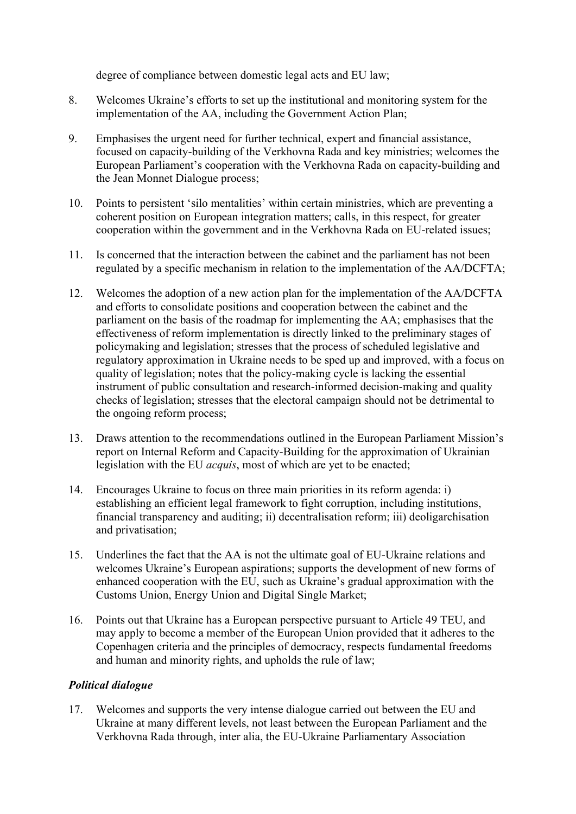degree of compliance between domestic legal acts and EU law;

- 8. Welcomes Ukraine's efforts to set up the institutional and monitoring system for the implementation of the AA, including the Government Action Plan;
- 9. Emphasises the urgent need for further technical, expert and financial assistance, focused on capacity-building of the Verkhovna Rada and key ministries; welcomes the European Parliament's cooperation with the Verkhovna Rada on capacity-building and the Jean Monnet Dialogue process;
- 10. Points to persistent 'silo mentalities' within certain ministries, which are preventing a coherent position on European integration matters; calls, in this respect, for greater cooperation within the government and in the Verkhovna Rada on EU-related issues;
- 11. Is concerned that the interaction between the cabinet and the parliament has not been regulated by a specific mechanism in relation to the implementation of the AA/DCFTA;
- 12. Welcomes the adoption of a new action plan for the implementation of the AA/DCFTA and efforts to consolidate positions and cooperation between the cabinet and the parliament on the basis of the roadmap for implementing the AA; emphasises that the effectiveness of reform implementation is directly linked to the preliminary stages of policymaking and legislation; stresses that the process of scheduled legislative and regulatory approximation in Ukraine needs to be sped up and improved, with a focus on quality of legislation; notes that the policy-making cycle is lacking the essential instrument of public consultation and research-informed decision-making and quality checks of legislation; stresses that the electoral campaign should not be detrimental to the ongoing reform process;
- 13. Draws attention to the recommendations outlined in the European Parliament Mission's report on Internal Reform and Capacity-Building for the approximation of Ukrainian legislation with the EU *acquis*, most of which are yet to be enacted;
- 14. Encourages Ukraine to focus on three main priorities in its reform agenda: i) establishing an efficient legal framework to fight corruption, including institutions, financial transparency and auditing; ii) decentralisation reform; iii) deoligarchisation and privatisation;
- 15. Underlines the fact that the AA is not the ultimate goal of EU-Ukraine relations and welcomes Ukraine's European aspirations; supports the development of new forms of enhanced cooperation with the EU, such as Ukraine's gradual approximation with the Customs Union, Energy Union and Digital Single Market;
- 16. Points out that Ukraine has a European perspective pursuant to Article 49 TEU, and may apply to become a member of the European Union provided that it adheres to the Copenhagen criteria and the principles of democracy, respects fundamental freedoms and human and minority rights, and upholds the rule of law;

#### *Political dialogue*

17. Welcomes and supports the very intense dialogue carried out between the EU and Ukraine at many different levels, not least between the European Parliament and the Verkhovna Rada through, inter alia, the EU-Ukraine Parliamentary Association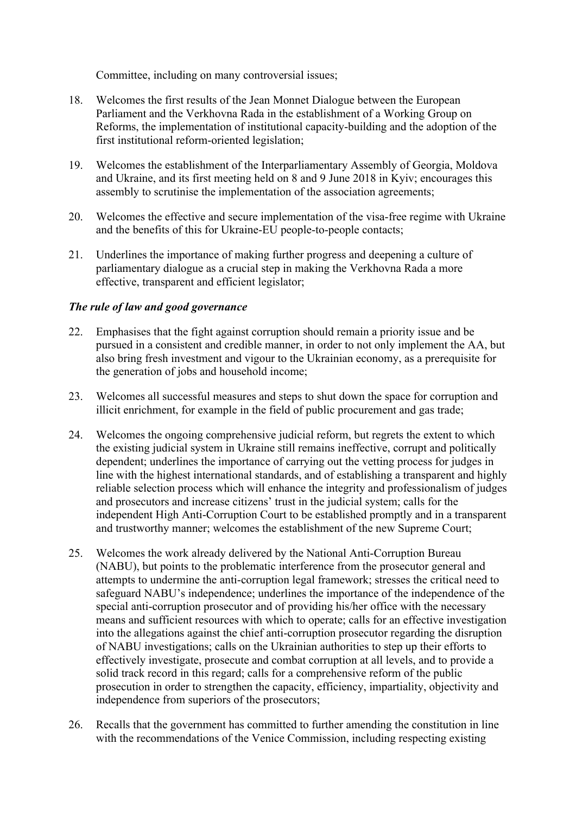Committee, including on many controversial issues;

- 18. Welcomes the first results of the Jean Monnet Dialogue between the European Parliament and the Verkhovna Rada in the establishment of a Working Group on Reforms, the implementation of institutional capacity-building and the adoption of the first institutional reform-oriented legislation;
- 19. Welcomes the establishment of the Interparliamentary Assembly of Georgia, Moldova and Ukraine, and its first meeting held on 8 and 9 June 2018 in Kyiv; encourages this assembly to scrutinise the implementation of the association agreements;
- 20. Welcomes the effective and secure implementation of the visa-free regime with Ukraine and the benefits of this for Ukraine-EU people-to-people contacts;
- 21. Underlines the importance of making further progress and deepening a culture of parliamentary dialogue as a crucial step in making the Verkhovna Rada a more effective, transparent and efficient legislator;

#### *The rule of law and good governance*

- 22. Emphasises that the fight against corruption should remain a priority issue and be pursued in a consistent and credible manner, in order to not only implement the AA, but also bring fresh investment and vigour to the Ukrainian economy, as a prerequisite for the generation of jobs and household income;
- 23. Welcomes all successful measures and steps to shut down the space for corruption and illicit enrichment, for example in the field of public procurement and gas trade;
- 24. Welcomes the ongoing comprehensive judicial reform, but regrets the extent to which the existing judicial system in Ukraine still remains ineffective, corrupt and politically dependent; underlines the importance of carrying out the vetting process for judges in line with the highest international standards, and of establishing a transparent and highly reliable selection process which will enhance the integrity and professionalism of judges and prosecutors and increase citizens' trust in the judicial system; calls for the independent High Anti-Corruption Court to be established promptly and in a transparent and trustworthy manner; welcomes the establishment of the new Supreme Court;
- 25. Welcomes the work already delivered by the National Anti-Corruption Bureau (NABU), but points to the problematic interference from the prosecutor general and attempts to undermine the anti-corruption legal framework; stresses the critical need to safeguard NABU's independence; underlines the importance of the independence of the special anti-corruption prosecutor and of providing his/her office with the necessary means and sufficient resources with which to operate; calls for an effective investigation into the allegations against the chief anti-corruption prosecutor regarding the disruption of NABU investigations; calls on the Ukrainian authorities to step up their efforts to effectively investigate, prosecute and combat corruption at all levels, and to provide a solid track record in this regard; calls for a comprehensive reform of the public prosecution in order to strengthen the capacity, efficiency, impartiality, objectivity and independence from superiors of the prosecutors;
- 26. Recalls that the government has committed to further amending the constitution in line with the recommendations of the Venice Commission, including respecting existing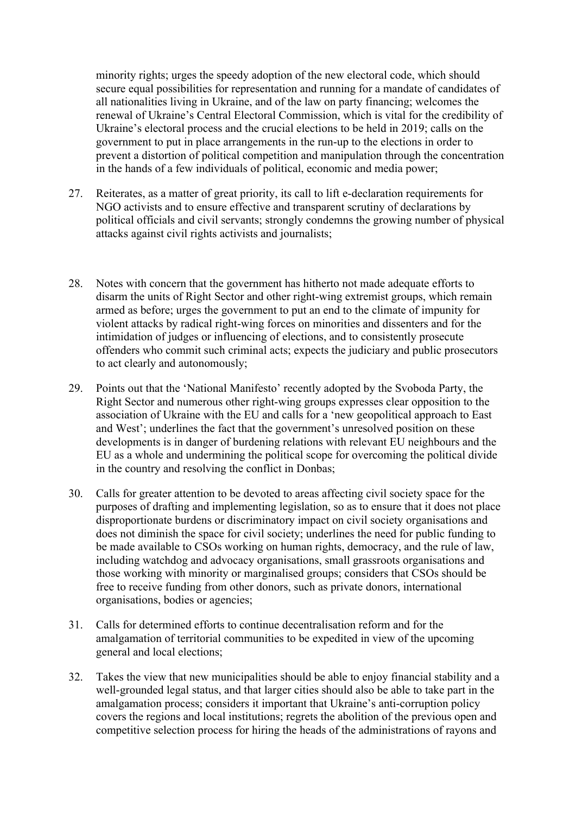minority rights; urges the speedy adoption of the new electoral code, which should secure equal possibilities for representation and running for a mandate of candidates of all nationalities living in Ukraine, and of the law on party financing; welcomes the renewal of Ukraine's Central Electoral Commission, which is vital for the credibility of Ukraine's electoral process and the crucial elections to be held in 2019; calls on the government to put in place arrangements in the run-up to the elections in order to prevent a distortion of political competition and manipulation through the concentration in the hands of a few individuals of political, economic and media power;

- 27. Reiterates, as a matter of great priority, its call to lift e-declaration requirements for NGO activists and to ensure effective and transparent scrutiny of declarations by political officials and civil servants; strongly condemns the growing number of physical attacks against civil rights activists and journalists;
- 28. Notes with concern that the government has hitherto not made adequate efforts to disarm the units of Right Sector and other right-wing extremist groups, which remain armed as before; urges the government to put an end to the climate of impunity for violent attacks by radical right-wing forces on minorities and dissenters and for the intimidation of judges or influencing of elections, and to consistently prosecute offenders who commit such criminal acts; expects the judiciary and public prosecutors to act clearly and autonomously;
- 29. Points out that the 'National Manifesto' recently adopted by the Svoboda Party, the Right Sector and numerous other right-wing groups expresses clear opposition to the association of Ukraine with the EU and calls for a 'new geopolitical approach to East and West'; underlines the fact that the government's unresolved position on these developments is in danger of burdening relations with relevant EU neighbours and the EU as a whole and undermining the political scope for overcoming the political divide in the country and resolving the conflict in Donbas;
- 30. Calls for greater attention to be devoted to areas affecting civil society space for the purposes of drafting and implementing legislation, so as to ensure that it does not place disproportionate burdens or discriminatory impact on civil society organisations and does not diminish the space for civil society; underlines the need for public funding to be made available to CSOs working on human rights, democracy, and the rule of law, including watchdog and advocacy organisations, small grassroots organisations and those working with minority or marginalised groups; considers that CSOs should be free to receive funding from other donors, such as private donors, international organisations, bodies or agencies;
- 31. Calls for determined efforts to continue decentralisation reform and for the amalgamation of territorial communities to be expedited in view of the upcoming general and local elections;
- 32. Takes the view that new municipalities should be able to enjoy financial stability and a well-grounded legal status, and that larger cities should also be able to take part in the amalgamation process; considers it important that Ukraine's anti-corruption policy covers the regions and local institutions; regrets the abolition of the previous open and competitive selection process for hiring the heads of the administrations of rayons and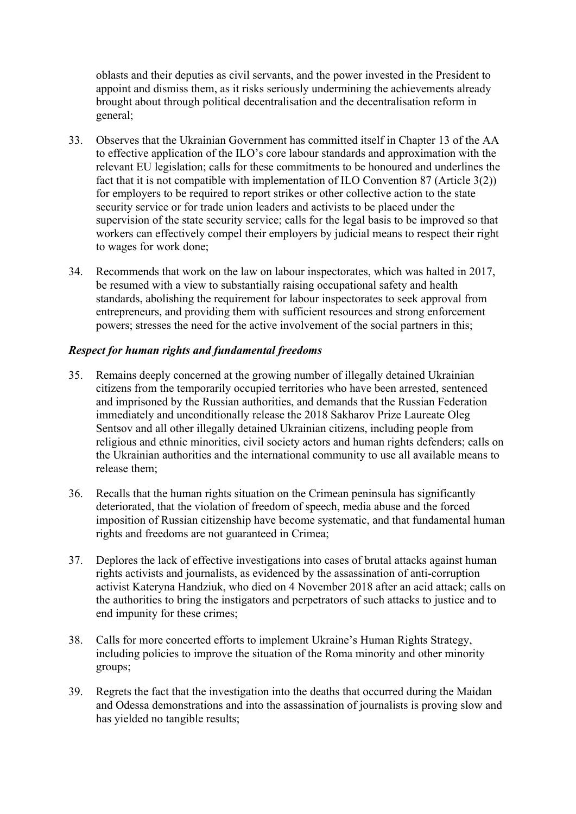oblasts and their deputies as civil servants, and the power invested in the President to appoint and dismiss them, as it risks seriously undermining the achievements already brought about through political decentralisation and the decentralisation reform in general;

- 33. Observes that the Ukrainian Government has committed itself in Chapter 13 of the AA to effective application of the ILO's core labour standards and approximation with the relevant EU legislation; calls for these commitments to be honoured and underlines the fact that it is not compatible with implementation of ILO Convention 87 (Article 3(2)) for employers to be required to report strikes or other collective action to the state security service or for trade union leaders and activists to be placed under the supervision of the state security service; calls for the legal basis to be improved so that workers can effectively compel their employers by judicial means to respect their right to wages for work done;
- 34. Recommends that work on the law on labour inspectorates, which was halted in 2017, be resumed with a view to substantially raising occupational safety and health standards, abolishing the requirement for labour inspectorates to seek approval from entrepreneurs, and providing them with sufficient resources and strong enforcement powers; stresses the need for the active involvement of the social partners in this;

#### *Respect for human rights and fundamental freedoms*

- 35. Remains deeply concerned at the growing number of illegally detained Ukrainian citizens from the temporarily occupied territories who have been arrested, sentenced and imprisoned by the Russian authorities, and demands that the Russian Federation immediately and unconditionally release the 2018 Sakharov Prize Laureate Oleg Sentsov and all other illegally detained Ukrainian citizens, including people from religious and ethnic minorities, civil society actors and human rights defenders; calls on the Ukrainian authorities and the international community to use all available means to release them;
- 36. Recalls that the human rights situation on the Crimean peninsula has significantly deteriorated, that the violation of freedom of speech, media abuse and the forced imposition of Russian citizenship have become systematic, and that fundamental human rights and freedoms are not guaranteed in Crimea;
- 37. Deplores the lack of effective investigations into cases of brutal attacks against human rights activists and journalists, as evidenced by the assassination of anti-corruption activist Kateryna Handziuk, who died on 4 November 2018 after an acid attack; calls on the authorities to bring the instigators and perpetrators of such attacks to justice and to end impunity for these crimes;
- 38. Calls for more concerted efforts to implement Ukraine's Human Rights Strategy, including policies to improve the situation of the Roma minority and other minority groups;
- 39. Regrets the fact that the investigation into the deaths that occurred during the Maidan and Odessa demonstrations and into the assassination of journalists is proving slow and has yielded no tangible results;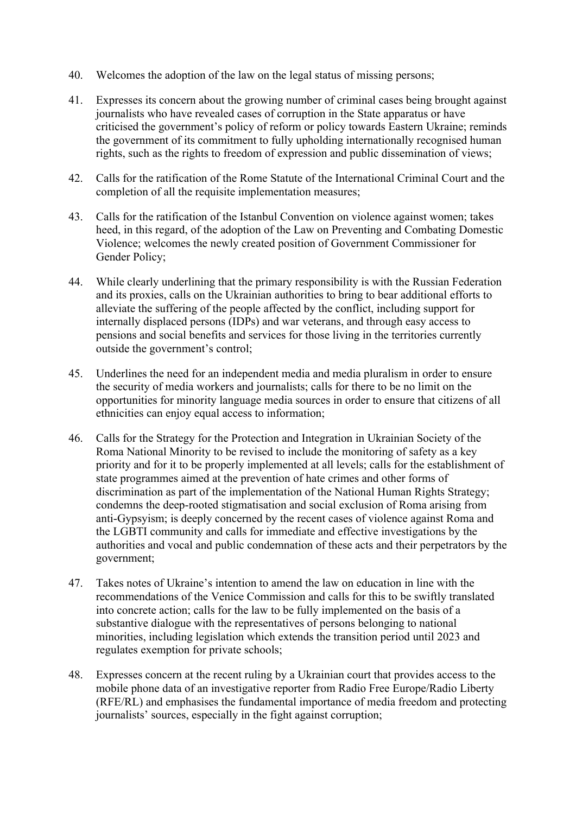- 40. Welcomes the adoption of the law on the legal status of missing persons;
- 41. Expresses its concern about the growing number of criminal cases being brought against journalists who have revealed cases of corruption in the State apparatus or have criticised the government's policy of reform or policy towards Eastern Ukraine; reminds the government of its commitment to fully upholding internationally recognised human rights, such as the rights to freedom of expression and public dissemination of views;
- 42. Calls for the ratification of the Rome Statute of the International Criminal Court and the completion of all the requisite implementation measures;
- 43. Calls for the ratification of the Istanbul Convention on violence against women; takes heed, in this regard, of the adoption of the Law on Preventing and Combating Domestic Violence; welcomes the newly created position of Government Commissioner for Gender Policy;
- 44. While clearly underlining that the primary responsibility is with the Russian Federation and its proxies, calls on the Ukrainian authorities to bring to bear additional efforts to alleviate the suffering of the people affected by the conflict, including support for internally displaced persons (IDPs) and war veterans, and through easy access to pensions and social benefits and services for those living in the territories currently outside the government's control;
- 45. Underlines the need for an independent media and media pluralism in order to ensure the security of media workers and journalists; calls for there to be no limit on the opportunities for minority language media sources in order to ensure that citizens of all ethnicities can enjoy equal access to information;
- 46. Calls for the Strategy for the Protection and Integration in Ukrainian Society of the Roma National Minority to be revised to include the monitoring of safety as a key priority and for it to be properly implemented at all levels; calls for the establishment of state programmes aimed at the prevention of hate crimes and other forms of discrimination as part of the implementation of the National Human Rights Strategy; condemns the deep-rooted stigmatisation and social exclusion of Roma arising from anti-Gypsyism; is deeply concerned by the recent cases of violence against Roma and the LGBTI community and calls for immediate and effective investigations by the authorities and vocal and public condemnation of these acts and their perpetrators by the government;
- 47. Takes notes of Ukraine's intention to amend the law on education in line with the recommendations of the Venice Commission and calls for this to be swiftly translated into concrete action; calls for the law to be fully implemented on the basis of a substantive dialogue with the representatives of persons belonging to national minorities, including legislation which extends the transition period until 2023 and regulates exemption for private schools;
- 48. Expresses concern at the recent ruling by a Ukrainian court that provides access to the mobile phone data of an investigative reporter from Radio Free Europe/Radio Liberty (RFE/RL) and emphasises the fundamental importance of media freedom and protecting journalists' sources, especially in the fight against corruption;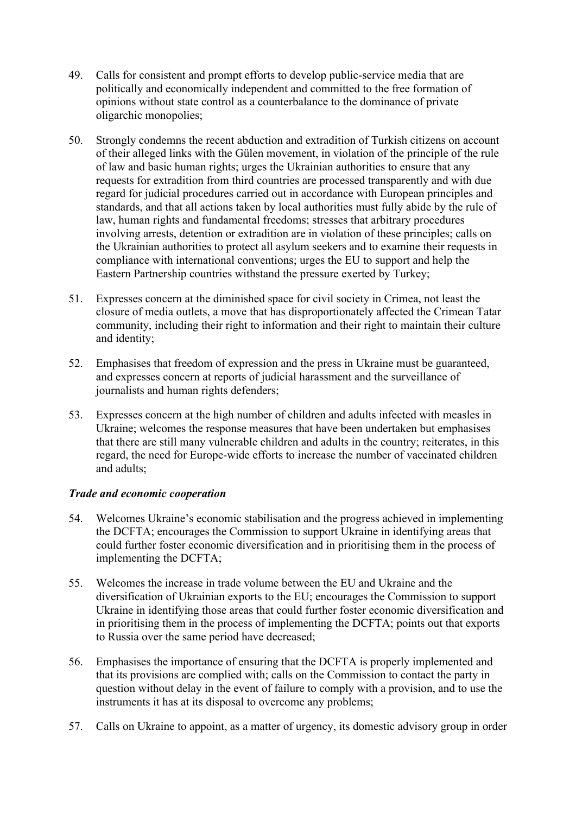- 49. Calls for consistent and prompt efforts to develop public-service media that are politically and economically independent and committed to the free formation of opinions without state control as a counterbalance to the dominance of private oligarchic monopolies;
- 50. Strongly condemns the recent abduction and extradition of Turkish citizens on account of their alleged links with the Gülen movement, in violation of the principle of the rule of law and basic human rights; urges the Ukrainian authorities to ensure that any requests for extradition from third countries are processed transparently and with due regard for judicial procedures carried out in accordance with European principles and standards, and that all actions taken by local authorities must fully abide by the rule of law, human rights and fundamental freedoms; stresses that arbitrary procedures involving arrests, detention or extradition are in violation of these principles; calls on the Ukrainian authorities to protect all asylum seekers and to examine their requests in compliance with international conventions; urges the EU to support and help the Eastern Partnership countries withstand the pressure exerted by Turkey;
- 51. Expresses concern at the diminished space for civil society in Crimea, not least the closure of media outlets, a move that has disproportionately affected the Crimean Tatar community, including their right to information and their right to maintain their culture and identity;
- 52. Emphasises that freedom of expression and the press in Ukraine must be guaranteed, and expresses concern at reports of judicial harassment and the surveillance of journalists and human rights defenders;
- 53. Expresses concern at the high number of children and adults infected with measles in Ukraine; welcomes the response measures that have been undertaken but emphasises that there are still many vulnerable children and adults in the country; reiterates, in this regard, the need for Europe-wide efforts to increase the number of vaccinated children and adults;

#### *Trade and economic cooperation*

- 54. Welcomes Ukraine's economic stabilisation and the progress achieved in implementing the DCFTA; encourages the Commission to support Ukraine in identifying areas that could further foster economic diversification and in prioritising them in the process of implementing the DCFTA;
- 55. Welcomes the increase in trade volume between the EU and Ukraine and the diversification of Ukrainian exports to the EU; encourages the Commission to support Ukraine in identifying those areas that could further foster economic diversification and in prioritising them in the process of implementing the DCFTA; points out that exports to Russia over the same period have decreased;
- 56. Emphasises the importance of ensuring that the DCFTA is properly implemented and that its provisions are complied with; calls on the Commission to contact the party in question without delay in the event of failure to comply with a provision, and to use the instruments it has at its disposal to overcome any problems;
- 57. Calls on Ukraine to appoint, as a matter of urgency, its domestic advisory group in order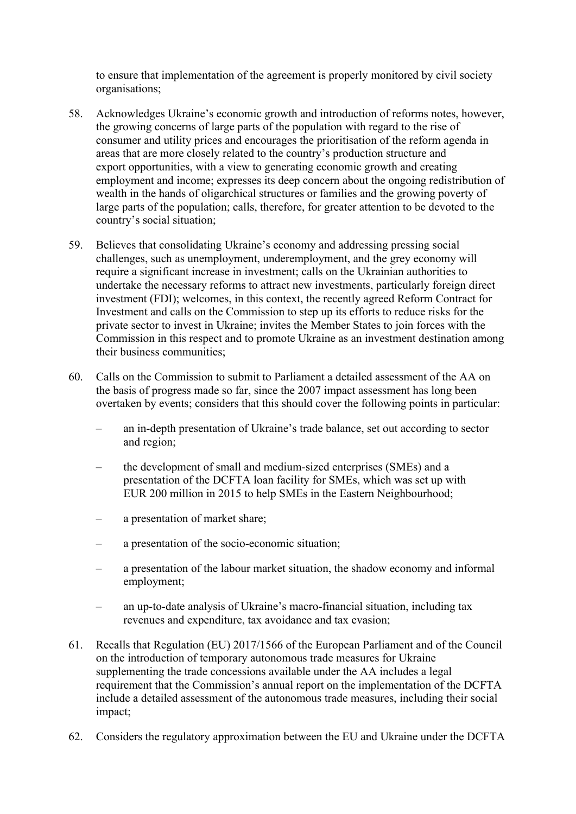to ensure that implementation of the agreement is properly monitored by civil society organisations;

- 58. Acknowledges Ukraine's economic growth and introduction of reforms notes, however, the growing concerns of large parts of the population with regard to the rise of consumer and utility prices and encourages the prioritisation of the reform agenda in areas that are more closely related to the country's production structure and export opportunities, with a view to generating economic growth and creating employment and income; expresses its deep concern about the ongoing redistribution of wealth in the hands of oligarchical structures or families and the growing poverty of large parts of the population; calls, therefore, for greater attention to be devoted to the country's social situation;
- 59. Believes that consolidating Ukraine's economy and addressing pressing social challenges, such as unemployment, underemployment, and the grey economy will require a significant increase in investment; calls on the Ukrainian authorities to undertake the necessary reforms to attract new investments, particularly foreign direct investment (FDI); welcomes, in this context, the recently agreed Reform Contract for Investment and calls on the Commission to step up its efforts to reduce risks for the private sector to invest in Ukraine; invites the Member States to join forces with the Commission in this respect and to promote Ukraine as an investment destination among their business communities;
- 60. Calls on the Commission to submit to Parliament a detailed assessment of the AA on the basis of progress made so far, since the 2007 impact assessment has long been overtaken by events; considers that this should cover the following points in particular:
	- an in-depth presentation of Ukraine's trade balance, set out according to sector and region;
	- the development of small and medium-sized enterprises (SMEs) and a presentation of the DCFTA loan facility for SMEs, which was set up with EUR 200 million in 2015 to help SMEs in the Eastern Neighbourhood;
	- a presentation of market share;
	- a presentation of the socio-economic situation;
	- a presentation of the labour market situation, the shadow economy and informal employment;
	- an up-to-date analysis of Ukraine's macro-financial situation, including tax revenues and expenditure, tax avoidance and tax evasion;
- 61. Recalls that Regulation (EU) 2017/1566 of the European Parliament and of the Council on the introduction of temporary autonomous trade measures for Ukraine supplementing the trade concessions available under the AA includes a legal requirement that the Commission's annual report on the implementation of the DCFTA include a detailed assessment of the autonomous trade measures, including their social impact;
- 62. Considers the regulatory approximation between the EU and Ukraine under the DCFTA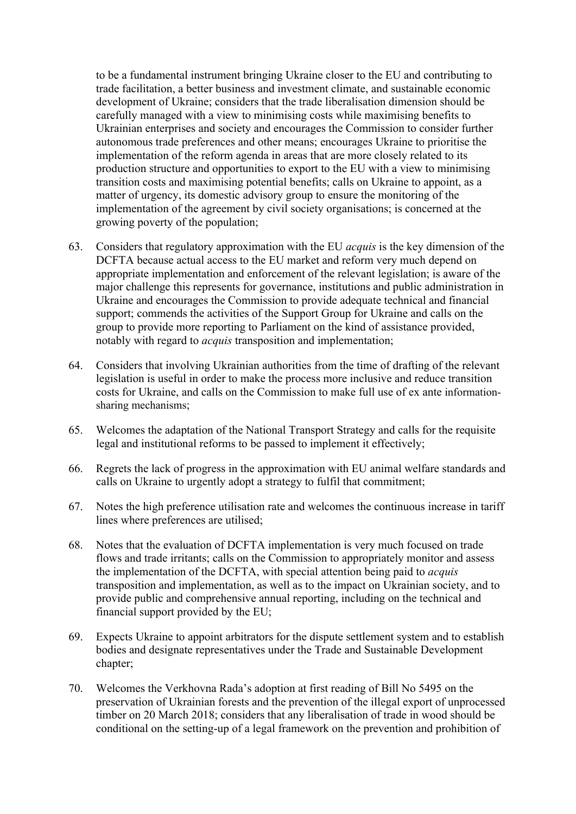to be a fundamental instrument bringing Ukraine closer to the EU and contributing to trade facilitation, a better business and investment climate, and sustainable economic development of Ukraine; considers that the trade liberalisation dimension should be carefully managed with a view to minimising costs while maximising benefits to Ukrainian enterprises and society and encourages the Commission to consider further autonomous trade preferences and other means; encourages Ukraine to prioritise the implementation of the reform agenda in areas that are more closely related to its production structure and opportunities to export to the EU with a view to minimising transition costs and maximising potential benefits; calls on Ukraine to appoint, as a matter of urgency, its domestic advisory group to ensure the monitoring of the implementation of the agreement by civil society organisations; is concerned at the growing poverty of the population;

- 63. Considers that regulatory approximation with the EU *acquis* is the key dimension of the DCFTA because actual access to the EU market and reform very much depend on appropriate implementation and enforcement of the relevant legislation; is aware of the major challenge this represents for governance, institutions and public administration in Ukraine and encourages the Commission to provide adequate technical and financial support; commends the activities of the Support Group for Ukraine and calls on the group to provide more reporting to Parliament on the kind of assistance provided, notably with regard to *acquis* transposition and implementation;
- 64. Considers that involving Ukrainian authorities from the time of drafting of the relevant legislation is useful in order to make the process more inclusive and reduce transition costs for Ukraine, and calls on the Commission to make full use of ex ante informationsharing mechanisms;
- 65. Welcomes the adaptation of the National Transport Strategy and calls for the requisite legal and institutional reforms to be passed to implement it effectively;
- 66. Regrets the lack of progress in the approximation with EU animal welfare standards and calls on Ukraine to urgently adopt a strategy to fulfil that commitment;
- 67. Notes the high preference utilisation rate and welcomes the continuous increase in tariff lines where preferences are utilised;
- 68. Notes that the evaluation of DCFTA implementation is very much focused on trade flows and trade irritants; calls on the Commission to appropriately monitor and assess the implementation of the DCFTA, with special attention being paid to *acquis* transposition and implementation, as well as to the impact on Ukrainian society, and to provide public and comprehensive annual reporting, including on the technical and financial support provided by the EU;
- 69. Expects Ukraine to appoint arbitrators for the dispute settlement system and to establish bodies and designate representatives under the Trade and Sustainable Development chapter;
- 70. Welcomes the Verkhovna Rada's adoption at first reading of Bill No 5495 on the preservation of Ukrainian forests and the prevention of the illegal export of unprocessed timber on 20 March 2018; considers that any liberalisation of trade in wood should be conditional on the setting-up of a legal framework on the prevention and prohibition of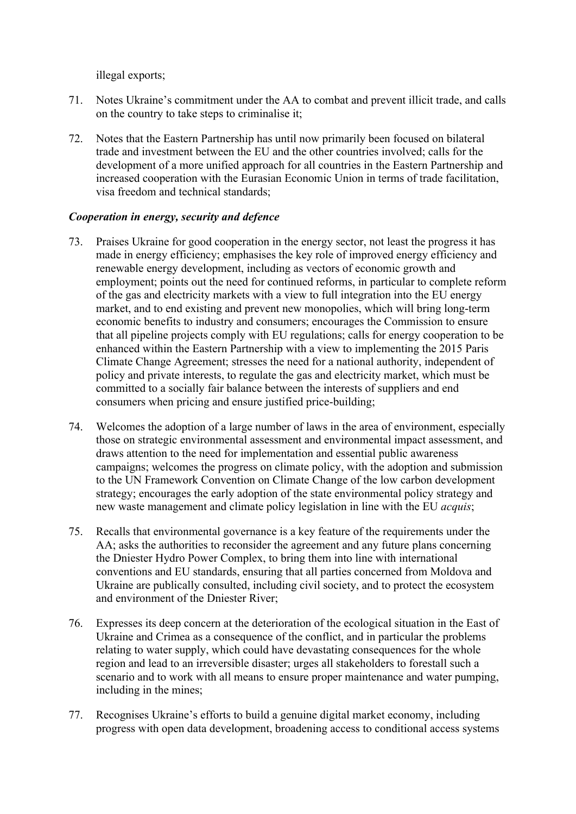illegal exports;

- 71. Notes Ukraine's commitment under the AA to combat and prevent illicit trade, and calls on the country to take steps to criminalise it;
- 72. Notes that the Eastern Partnership has until now primarily been focused on bilateral trade and investment between the EU and the other countries involved; calls for the development of a more unified approach for all countries in the Eastern Partnership and increased cooperation with the Eurasian Economic Union in terms of trade facilitation, visa freedom and technical standards;

## *Cooperation in energy, security and defence*

- 73. Praises Ukraine for good cooperation in the energy sector, not least the progress it has made in energy efficiency; emphasises the key role of improved energy efficiency and renewable energy development, including as vectors of economic growth and employment; points out the need for continued reforms, in particular to complete reform of the gas and electricity markets with a view to full integration into the EU energy market, and to end existing and prevent new monopolies, which will bring long-term economic benefits to industry and consumers; encourages the Commission to ensure that all pipeline projects comply with EU regulations; calls for energy cooperation to be enhanced within the Eastern Partnership with a view to implementing the 2015 Paris Climate Change Agreement; stresses the need for a national authority, independent of policy and private interests, to regulate the gas and electricity market, which must be committed to a socially fair balance between the interests of suppliers and end consumers when pricing and ensure justified price-building;
- 74. Welcomes the adoption of a large number of laws in the area of environment, especially those on strategic environmental assessment and environmental impact assessment, and draws attention to the need for implementation and essential public awareness campaigns; welcomes the progress on climate policy, with the adoption and submission to the UN Framework Convention on Climate Change of the low carbon development strategy; encourages the early adoption of the state environmental policy strategy and new waste management and climate policy legislation in line with the EU *acquis*;
- 75. Recalls that environmental governance is a key feature of the requirements under the AA; asks the authorities to reconsider the agreement and any future plans concerning the Dniester Hydro Power Complex, to bring them into line with international conventions and EU standards, ensuring that all parties concerned from Moldova and Ukraine are publically consulted, including civil society, and to protect the ecosystem and environment of the Dniester River;
- 76. Expresses its deep concern at the deterioration of the ecological situation in the East of Ukraine and Crimea as a consequence of the conflict, and in particular the problems relating to water supply, which could have devastating consequences for the whole region and lead to an irreversible disaster; urges all stakeholders to forestall such a scenario and to work with all means to ensure proper maintenance and water pumping, including in the mines;
- 77. Recognises Ukraine's efforts to build a genuine digital market economy, including progress with open data development, broadening access to conditional access systems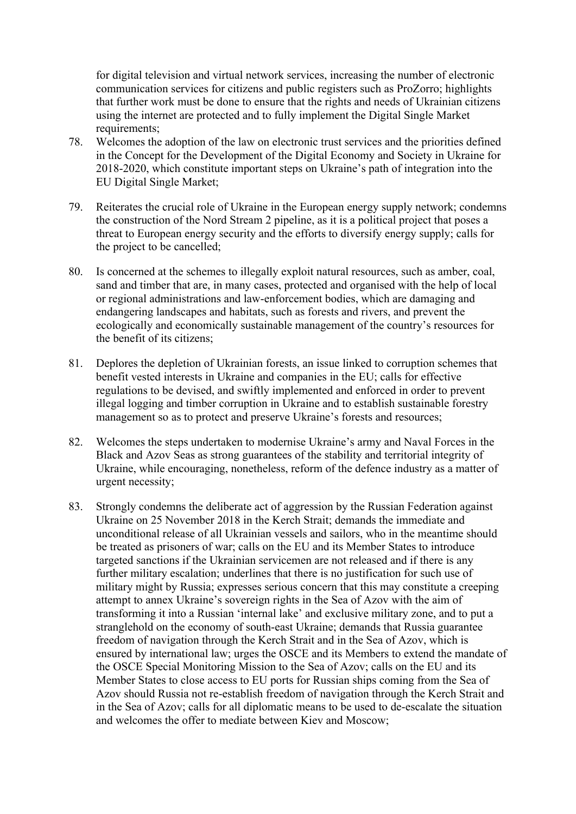for digital television and virtual network services, increasing the number of electronic communication services for citizens and public registers such as ProZorro; highlights that further work must be done to ensure that the rights and needs of Ukrainian citizens using the internet are protected and to fully implement the Digital Single Market requirements;

- 78. Welcomes the adoption of the law on electronic trust services and the priorities defined in the Concept for the Development of the Digital Economy and Society in Ukraine for 2018-2020, which constitute important steps on Ukraine's path of integration into the EU Digital Single Market;
- 79. Reiterates the crucial role of Ukraine in the European energy supply network; condemns the construction of the Nord Stream 2 pipeline, as it is a political project that poses a threat to European energy security and the efforts to diversify energy supply; calls for the project to be cancelled;
- 80. Is concerned at the schemes to illegally exploit natural resources, such as amber, coal, sand and timber that are, in many cases, protected and organised with the help of local or regional administrations and law-enforcement bodies, which are damaging and endangering landscapes and habitats, such as forests and rivers, and prevent the ecologically and economically sustainable management of the country's resources for the benefit of its citizens;
- 81. Deplores the depletion of Ukrainian forests, an issue linked to corruption schemes that benefit vested interests in Ukraine and companies in the EU; calls for effective regulations to be devised, and swiftly implemented and enforced in order to prevent illegal logging and timber corruption in Ukraine and to establish sustainable forestry management so as to protect and preserve Ukraine's forests and resources;
- 82. Welcomes the steps undertaken to modernise Ukraine's army and Naval Forces in the Black and Azov Seas as strong guarantees of the stability and territorial integrity of Ukraine, while encouraging, nonetheless, reform of the defence industry as a matter of urgent necessity;
- 83. Strongly condemns the deliberate act of aggression by the Russian Federation against Ukraine on 25 November 2018 in the Kerch Strait; demands the immediate and unconditional release of all Ukrainian vessels and sailors, who in the meantime should be treated as prisoners of war; calls on the EU and its Member States to introduce targeted sanctions if the Ukrainian servicemen are not released and if there is any further military escalation; underlines that there is no justification for such use of military might by Russia; expresses serious concern that this may constitute a creeping attempt to annex Ukraine's sovereign rights in the Sea of Azov with the aim of transforming it into a Russian 'internal lake' and exclusive military zone, and to put a stranglehold on the economy of south-east Ukraine; demands that Russia guarantee freedom of navigation through the Kerch Strait and in the Sea of Azov, which is ensured by international law; urges the OSCE and its Members to extend the mandate of the OSCE Special Monitoring Mission to the Sea of Azov; calls on the EU and its Member States to close access to EU ports for Russian ships coming from the Sea of Azov should Russia not re-establish freedom of navigation through the Kerch Strait and in the Sea of Azov; calls for all diplomatic means to be used to de-escalate the situation and welcomes the offer to mediate between Kiev and Moscow;